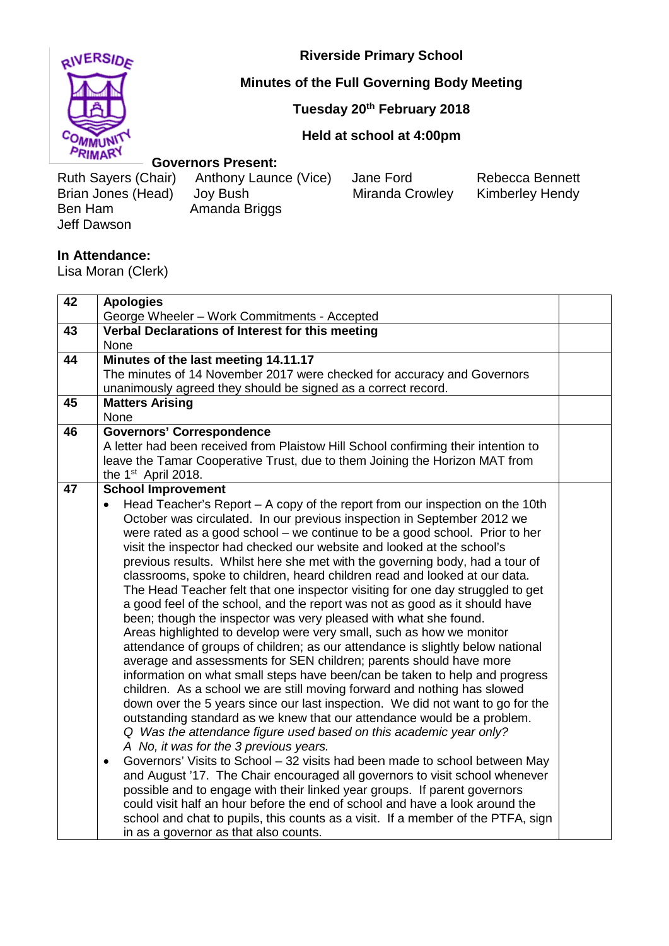

**Riverside Primary School**

## **Minutes of the Full Governing Body Meeting**

**Tuesday 20th February 2018**

## **Held at school at 4:00pm**

## **Governors Present:**

Brian Jones (Head)<br>Ben Ham Jeff Dawson

Ruth Sayers (Chair) Anthony Launce (Vice) Jane Ford Rebecca Bennett<br>Brian Jones (Head) Joy Bush Miranda Crowley Kimberley Hendy Amanda Briggs

## **In Attendance:**

Lisa Moran (Clerk)

| 42 | <b>Apologies</b>                                                                                                                                       |  |
|----|--------------------------------------------------------------------------------------------------------------------------------------------------------|--|
|    | George Wheeler - Work Commitments - Accepted                                                                                                           |  |
| 43 | Verbal Declarations of Interest for this meeting                                                                                                       |  |
|    | None                                                                                                                                                   |  |
| 44 | Minutes of the last meeting 14.11.17                                                                                                                   |  |
|    | The minutes of 14 November 2017 were checked for accuracy and Governors                                                                                |  |
|    | unanimously agreed they should be signed as a correct record.                                                                                          |  |
| 45 | <b>Matters Arising</b>                                                                                                                                 |  |
|    | None                                                                                                                                                   |  |
| 46 | <b>Governors' Correspondence</b>                                                                                                                       |  |
|    | A letter had been received from Plaistow Hill School confirming their intention to                                                                     |  |
|    | leave the Tamar Cooperative Trust, due to them Joining the Horizon MAT from                                                                            |  |
|    | the 1 <sup>st</sup> April 2018.                                                                                                                        |  |
| 47 | <b>School Improvement</b>                                                                                                                              |  |
|    | Head Teacher's Report – A copy of the report from our inspection on the 10th<br>$\bullet$                                                              |  |
|    | October was circulated. In our previous inspection in September 2012 we<br>were rated as a good school - we continue to be a good school. Prior to her |  |
|    | visit the inspector had checked our website and looked at the school's                                                                                 |  |
|    | previous results. Whilst here she met with the governing body, had a tour of                                                                           |  |
|    | classrooms, spoke to children, heard children read and looked at our data.                                                                             |  |
|    | The Head Teacher felt that one inspector visiting for one day struggled to get                                                                         |  |
|    | a good feel of the school, and the report was not as good as it should have                                                                            |  |
|    | been; though the inspector was very pleased with what she found.                                                                                       |  |
|    | Areas highlighted to develop were very small, such as how we monitor                                                                                   |  |
|    | attendance of groups of children; as our attendance is slightly below national                                                                         |  |
|    | average and assessments for SEN children; parents should have more                                                                                     |  |
|    | information on what small steps have been/can be taken to help and progress                                                                            |  |
|    | children. As a school we are still moving forward and nothing has slowed                                                                               |  |
|    | down over the 5 years since our last inspection. We did not want to go for the                                                                         |  |
|    | outstanding standard as we knew that our attendance would be a problem.                                                                                |  |
|    | Q Was the attendance figure used based on this academic year only?                                                                                     |  |
|    | A No, it was for the 3 previous years.                                                                                                                 |  |
|    | Governors' Visits to School - 32 visits had been made to school between May<br>$\bullet$                                                               |  |
|    | and August '17. The Chair encouraged all governors to visit school whenever                                                                            |  |
|    | possible and to engage with their linked year groups. If parent governors                                                                              |  |
|    | could visit half an hour before the end of school and have a look around the                                                                           |  |
|    | school and chat to pupils, this counts as a visit. If a member of the PTFA, sign                                                                       |  |
|    | in as a governor as that also counts.                                                                                                                  |  |